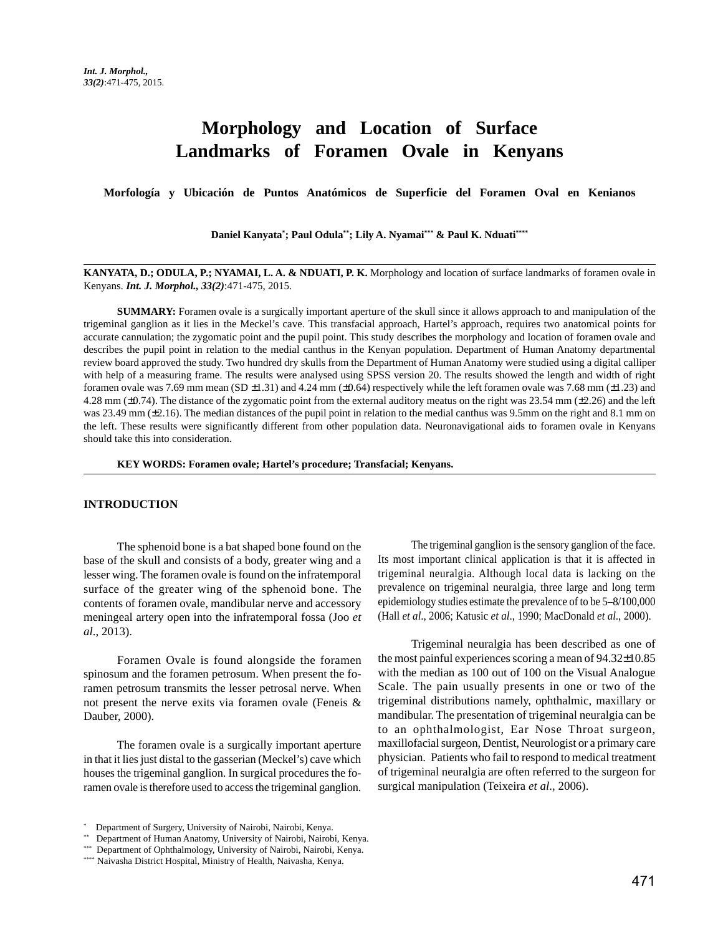# **Morphology and Location of Surface Landmarks of Foramen Ovale in Kenyans**

**Morfología y Ubicación de Puntos Anatómicos de Superficie del Foramen Oval en Kenianos**

**Daniel Kanyata\* ; Paul Odula\*\*; Lily A. Nyamai\*\*\* & Paul K. Nduati\*\*\*\***

### **KANYATA, D.; ODULA, P.; NYAMAI, L. A. & NDUATI, P. K.** Morphology and location of surface landmarks of foramen ovale in Kenyans. *Int. J. Morphol., 33(2)*:471-475, 2015.

**SUMMARY:** Foramen ovale is a surgically important aperture of the skull since it allows approach to and manipulation of the trigeminal ganglion as it lies in the Meckel's cave. This transfacial approach, Hartel's approach, requires two anatomical points for accurate cannulation; the zygomatic point and the pupil point. This study describes the morphology and location of foramen ovale and describes the pupil point in relation to the medial canthus in the Kenyan population. Department of Human Anatomy departmental review board approved the study. Two hundred dry skulls from the Department of Human Anatomy were studied using a digital calliper with help of a measuring frame. The results were analysed using SPSS version 20. The results showed the length and width of right foramen ovale was 7.69 mm mean (SD  $\pm$ 1.31) and 4.24 mm ( $\pm$ 0.64) respectively while the left foramen ovale was 7.68 mm ( $\pm$ 1.23) and 4.28 mm (±0.74). The distance of the zygomatic point from the external auditory meatus on the right was 23.54 mm (±2.26) and the left was 23.49 mm ( $\pm$ 2.16). The median distances of the pupil point in relation to the medial canthus was 9.5mm on the right and 8.1 mm on the left. These results were significantly different from other population data. Neuronavigational aids to foramen ovale in Kenyans should take this into consideration.

**KEY WORDS: Foramen ovale; Hartel's procedure; Transfacial; Kenyans.**

### **INTRODUCTION**

The sphenoid bone is a bat shaped bone found on the base of the skull and consists of a body, greater wing and a lesser wing. The foramen ovale is found on the infratemporal surface of the greater wing of the sphenoid bone. The contents of foramen ovale, mandibular nerve and accessory meningeal artery open into the infratemporal fossa (Joo *et al*., 2013).

Foramen Ovale is found alongside the foramen spinosum and the foramen petrosum. When present the foramen petrosum transmits the lesser petrosal nerve. When not present the nerve exits via foramen ovale (Feneis & Dauber, 2000).

The foramen ovale is a surgically important aperture in that it lies just distal to the gasserian (Meckel's) cave which houses the trigeminal ganglion. In surgical procedures the foramen ovale is therefore used to access the trigeminal ganglion.

The trigeminal ganglion is the sensory ganglion of the face. Its most important clinical application is that it is affected in trigeminal neuralgia. Although local data is lacking on the prevalence on trigeminal neuralgia, three large and long term epidemiology studies estimate the prevalence of to be 5–8/100,000 (Hall *et al*., 2006; Katusic *et al*., 1990; MacDonald *et al*., 2000).

Trigeminal neuralgia has been described as one of the most painful experiences scoring a mean of 94.32±10.85 with the median as 100 out of 100 on the Visual Analogue Scale. The pain usually presents in one or two of the trigeminal distributions namely, ophthalmic, maxillary or mandibular. The presentation of trigeminal neuralgia can be to an ophthalmologist, Ear Nose Throat surgeon, maxillofacial surgeon, Dentist, Neurologist or a primary care physician. Patients who fail to respond to medical treatment of trigeminal neuralgia are often referred to the surgeon for surgical manipulation (Teixeira *et al*., 2006).

<sup>\*</sup> Department of Surgery, University of Nairobi, Nairobi, Kenya.

<sup>\*\*</sup> Department of Human Anatomy, University of Nairobi, Nairobi, Kenya.

<sup>\*\*\*</sup> Department of Ophthalmology, University of Nairobi, Nairobi, Kenya.

<sup>\*\*\*\*</sup> Naivasha District Hospital, Ministry of Health, Naivasha, Kenya.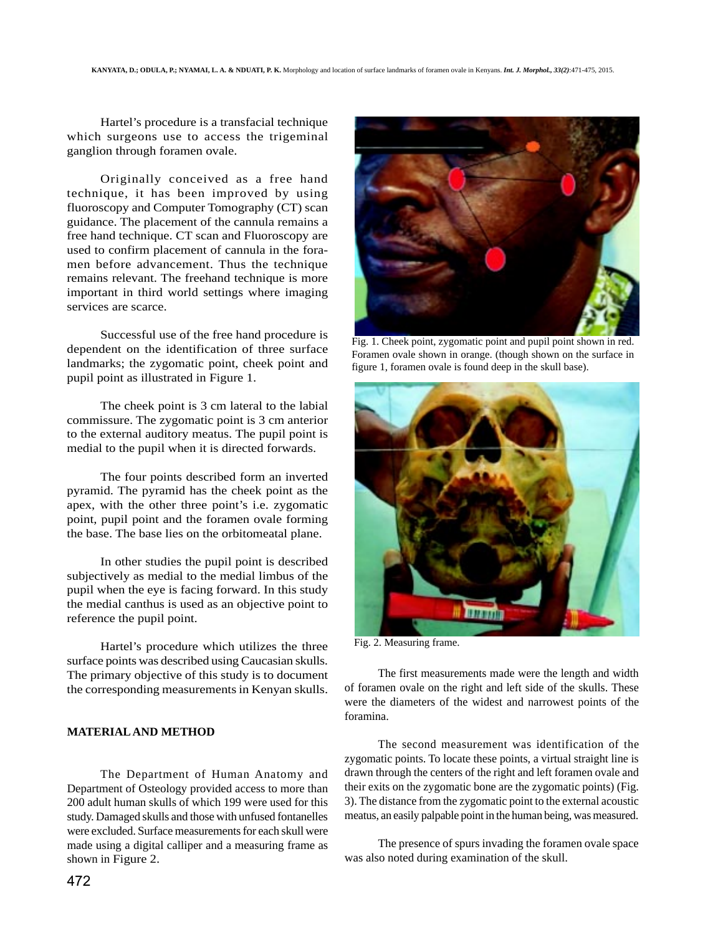Hartel's procedure is a transfacial technique which surgeons use to access the trigeminal ganglion through foramen ovale.

Originally conceived as a free hand technique, it has been improved by using fluoroscopy and Computer Tomography (CT) scan guidance. The placement of the cannula remains a free hand technique. CT scan and Fluoroscopy are used to confirm placement of cannula in the foramen before advancement. Thus the technique remains relevant. The freehand technique is more important in third world settings where imaging services are scarce.

Successful use of the free hand procedure is dependent on the identification of three surface landmarks; the zygomatic point, cheek point and pupil point as illustrated in Figure 1.

The cheek point is 3 cm lateral to the labial commissure. The zygomatic point is 3 cm anterior to the external auditory meatus. The pupil point is medial to the pupil when it is directed forwards.

The four points described form an inverted pyramid. The pyramid has the cheek point as the apex, with the other three point's i.e. zygomatic point, pupil point and the foramen ovale forming the base. The base lies on the orbitomeatal plane.

In other studies the pupil point is described subjectively as medial to the medial limbus of the pupil when the eye is facing forward. In this study the medial canthus is used as an objective point to reference the pupil point.

Hartel's procedure which utilizes the three surface points was described using Caucasian skulls. The primary objective of this study is to document the corresponding measurements in Kenyan skulls.

#### **MATERIAL AND METHOD**

The Department of Human Anatomy and Department of Osteology provided access to more than 200 adult human skulls of which 199 were used for this study. Damaged skulls and those with unfused fontanelles were excluded. Surface measurements for each skull were made using a digital calliper and a measuring frame as shown in Figure 2.



Fig. 1. Cheek point, zygomatic point and pupil point shown in red. Foramen ovale shown in orange. (though shown on the surface in figure 1, foramen ovale is found deep in the skull base).



Fig. 2. Measuring frame.

The first measurements made were the length and width of foramen ovale on the right and left side of the skulls. These were the diameters of the widest and narrowest points of the foramina.

The second measurement was identification of the zygomatic points. To locate these points, a virtual straight line is drawn through the centers of the right and left foramen ovale and their exits on the zygomatic bone are the zygomatic points) (Fig. 3). The distance from the zygomatic point to the external acoustic meatus, an easily palpable point in the human being, was measured.

The presence of spurs invading the foramen ovale space was also noted during examination of the skull.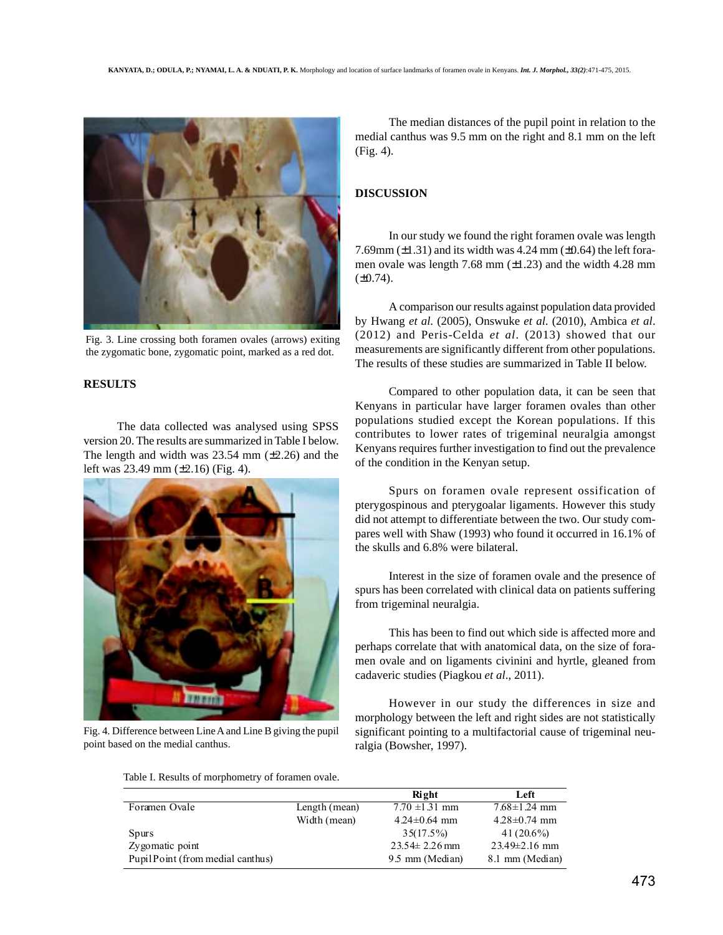

Fig. 3. Line crossing both foramen ovales (arrows) exiting the zygomatic bone, zygomatic point, marked as a red dot.

# **RESULTS**

The data collected was analysed using SPSS version 20. The results are summarized in Table I below. The length and width was  $23.54$  mm  $(\pm 2.26)$  and the left was 23.49 mm (±2.16) (Fig. 4).



Fig. 4. Difference between Line A and Line B giving the pupil point based on the medial canthus.

The median distances of the pupil point in relation to the medial canthus was 9.5 mm on the right and 8.1 mm on the left (Fig. 4).

# **DISCUSSION**

In our study we found the right foramen ovale was length 7.69mm  $(\pm 1.31)$  and its width was 4.24 mm  $(\pm 0.64)$  the left foramen ovale was length 7.68 mm  $(\pm 1.23)$  and the width 4.28 mm  $(\pm 0.74)$ .

A comparison our results against population data provided by Hwang *et al*. (2005), Onswuke *et al*. (2010), Ambica *et al*. (2012) and Peris-Celda *et al*. (2013) showed that our measurements are significantly different from other populations. The results of these studies are summarized in Table II below.

Compared to other population data, it can be seen that Kenyans in particular have larger foramen ovales than other populations studied except the Korean populations. If this contributes to lower rates of trigeminal neuralgia amongst Kenyans requires further investigation to find out the prevalence of the condition in the Kenyan setup.

Spurs on foramen ovale represent ossification of pterygospinous and pterygoalar ligaments. However this study did not attempt to differentiate between the two. Our study compares well with Shaw (1993) who found it occurred in 16.1% of the skulls and 6.8% were bilateral.

Interest in the size of foramen ovale and the presence of spurs has been correlated with clinical data on patients suffering from trigeminal neuralgia.

This has been to find out which side is affected more and perhaps correlate that with anatomical data, on the size of foramen ovale and on ligaments civinini and hyrtle, gleaned from cadaveric studies (Piagkou *et al*., 2011).

However in our study the differences in size and morphology between the left and right sides are not statistically significant pointing to a multifactorial cause of trigeminal neuralgia (Bowsher, 1997).

Table I. Results of morphometry of foramen ovale.

|                                  |               | Right               | Left               |
|----------------------------------|---------------|---------------------|--------------------|
| Foramen Ovale                    | Length (mean) | $7.70 \pm 1.31$ mm  | $7.68 \pm 1.24$ mm |
|                                  | Width (mean)  | $4.24\pm0.64$ mm    | $4.28 \pm 0.74$ mm |
| <b>Spurs</b>                     |               | $35(17.5\%)$        | $41(20.6\%)$       |
| Zygomatic point                  |               | $23.54 \pm 2.26$ mm | $23.49\pm2.16$ mm  |
| PupilPoint (from medial canthus) |               | 9.5 mm (Median)     | 8.1 mm (Median)    |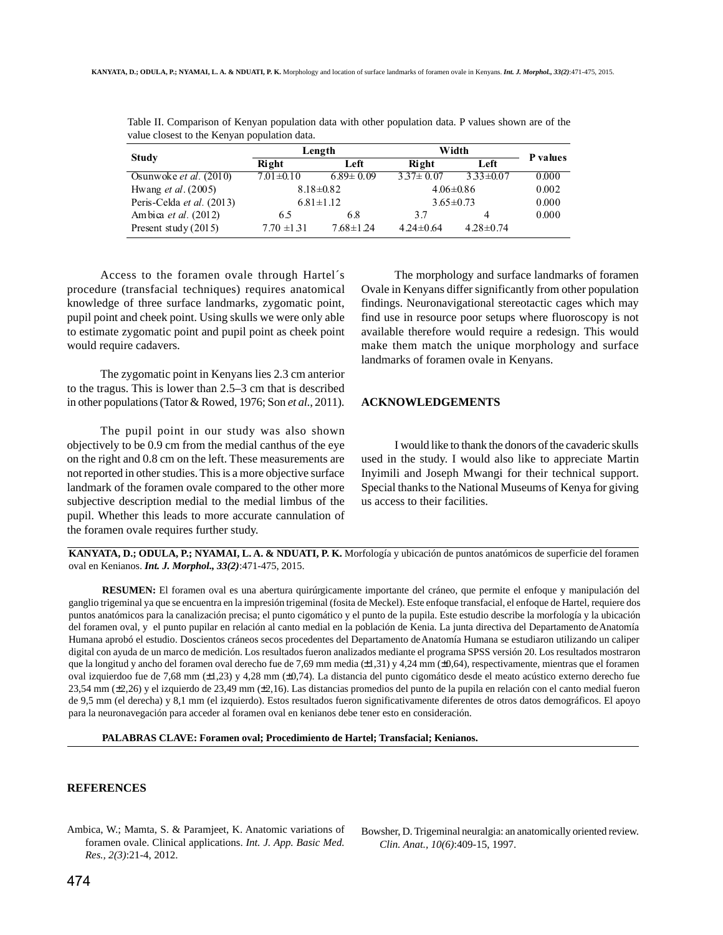| Study                           | Length          |                 | Width           |                 |          |
|---------------------------------|-----------------|-----------------|-----------------|-----------------|----------|
|                                 | Right           | Left            | Right           | Left            | P values |
| Osunwoke <i>et al.</i> $(2010)$ | $7.01 \pm 0.10$ | $6.89 \pm 0.09$ | $3.37 \pm 0.07$ | $3.33 \pm 0.07$ | 0.000    |
| Hwang <i>et al.</i> $(2005)$    | $8.18 \pm 0.82$ |                 | $4.06 \pm 0.86$ |                 | 0.002    |
| Peris-Celda et al. (2013)       | $6.81 \pm 1.12$ |                 | $3.65 \pm 0.73$ |                 | 0.000    |
| Ambica <i>et al.</i> (2012)     | 6.5             | 6.8             | 3.7             | 4               | 0.000    |
| Present study $(2015)$          | $7.70 \pm 1.31$ | $7.68 \pm 1.24$ | $4.24 \pm 0.64$ | $4.28 \pm 0.74$ |          |

Table II. Comparison of Kenyan population data with other population data. P values shown are of the value closest to the Kenyan population data.

Access to the foramen ovale through Hartel´s procedure (transfacial techniques) requires anatomical knowledge of three surface landmarks, zygomatic point, pupil point and cheek point. Using skulls we were only able to estimate zygomatic point and pupil point as cheek point would require cadavers.

The zygomatic point in Kenyans lies 2.3 cm anterior to the tragus. This is lower than 2.5–3 cm that is described in other populations (Tator & Rowed, 1976; Son *et al*., 2011).

The pupil point in our study was also shown objectively to be 0.9 cm from the medial canthus of the eye on the right and 0.8 cm on the left. These measurements are not reported in other studies. This is a more objective surface landmark of the foramen ovale compared to the other more subjective description medial to the medial limbus of the pupil. Whether this leads to more accurate cannulation of the foramen ovale requires further study.

The morphology and surface landmarks of foramen Ovale in Kenyans differ significantly from other population findings. Neuronavigational stereotactic cages which may find use in resource poor setups where fluoroscopy is not available therefore would require a redesign. This would make them match the unique morphology and surface landmarks of foramen ovale in Kenyans.

## **ACKNOWLEDGEMENTS**

I would like to thank the donors of the cavaderic skulls used in the study. I would also like to appreciate Martin Inyimili and Joseph Mwangi for their technical support. Special thanks to the National Museums of Kenya for giving us access to their facilities.

**KANYATA, D.; ODULA, P.; NYAMAI, L. A. & NDUATI, P. K.** Morfología y ubicación de puntos anatómicos de superficie del foramen oval en Kenianos. *Int. J. Morphol., 33(2)*:471-475, 2015.

**RESUMEN:** El foramen oval es una abertura quirúrgicamente importante del cráneo, que permite el enfoque y manipulación del ganglio trigeminal ya que se encuentra en la impresión trigeminal (fosita de Meckel). Este enfoque transfacial, el enfoque de Hartel, requiere dos puntos anatómicos para la canalización precisa; el punto cigomático y el punto de la pupila. Este estudio describe la morfología y la ubicación del foramen oval, y el punto pupilar en relación al canto medial en la población de Kenia. La junta directiva del Departamento de Anatomía Humana aprobó el estudio. Doscientos cráneos secos procedentes del Departamento de Anatomía Humana se estudiaron utilizando un caliper digital con ayuda de un marco de medición. Los resultados fueron analizados mediante el programa SPSS versión 20. Los resultados mostraron que la longitud y ancho del foramen oval derecho fue de 7,69 mm media (±1,31) y 4,24 mm (±0,64), respectivamente, mientras que el foramen oval izquierdoo fue de 7,68 mm (±1,23) y 4,28 mm (±0,74). La distancia del punto cigomático desde el meato acústico externo derecho fue 23,54 mm (±2,26) y el izquierdo de 23,49 mm (±2,16). Las distancias promedios del punto de la pupila en relación con el canto medial fueron de 9,5 mm (el derecha) y 8,1 mm (el izquierdo). Estos resultados fueron significativamente diferentes de otros datos demográficos. El apoyo para la neuronavegación para acceder al foramen oval en kenianos debe tener esto en consideración.

**PALABRAS CLAVE: Foramen oval; Procedimiento de Hartel; Transfacial; Kenianos.**

#### **REFERENCES**

Ambica, W.; Mamta, S. & Paramjeet, K. Anatomic variations of foramen ovale. Clinical applications. *Int. J. App. Basic Med. Res., 2(3)*:21-4, 2012.

Bowsher, D. Trigeminal neuralgia: an anatomically oriented review. *Clin. Anat., 10(6)*:409-15, 1997.